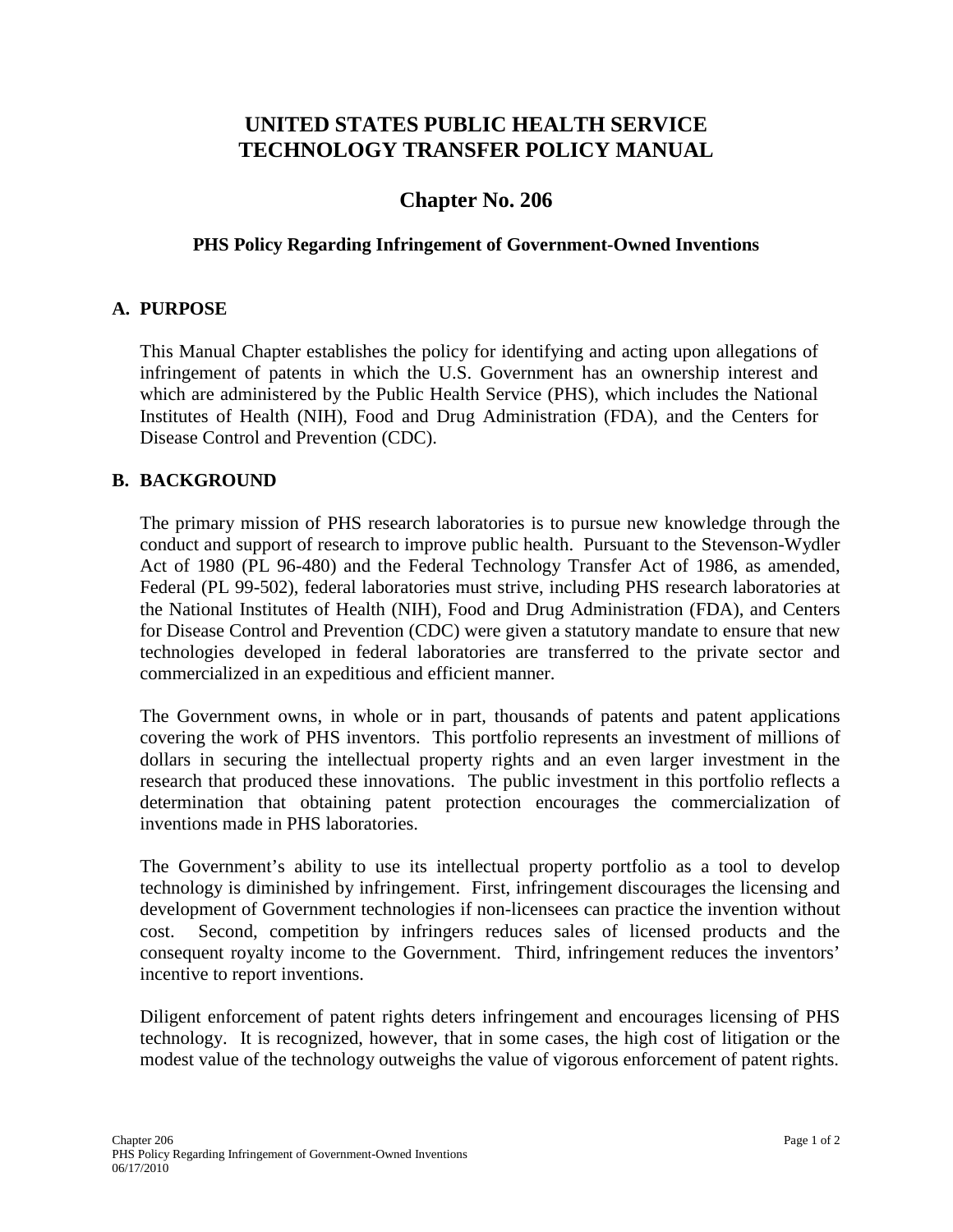# **UNITED STATES PUBLIC HEALTH SERVICE TECHNOLOGY TRANSFER POLICY MANUAL**

## **Chapter No. 206**

#### **PHS Policy Regarding Infringement of Government-Owned Inventions**

#### **A. PURPOSE**

This Manual Chapter establishes the policy for identifying and acting upon allegations of infringement of patents in which the U.S. Government has an ownership interest and which are administered by the Public Health Service (PHS), which includes the National Institutes of Health (NIH), Food and Drug Administration (FDA), and the Centers for Disease Control and Prevention (CDC).

### **B. BACKGROUND**

The primary mission of PHS research laboratories is to pursue new knowledge through the conduct and support of research to improve public health. Pursuant to the Stevenson-Wydler Act of 1980 (PL 96-480) and the Federal Technology Transfer Act of 1986, as amended, Federal (PL 99-502), federal laboratories must strive, including PHS research laboratories at the National Institutes of Health (NIH), Food and Drug Administration (FDA), and Centers for Disease Control and Prevention (CDC) were given a statutory mandate to ensure that new technologies developed in federal laboratories are transferred to the private sector and commercialized in an expeditious and efficient manner.

The Government owns, in whole or in part, thousands of patents and patent applications covering the work of PHS inventors. This portfolio represents an investment of millions of dollars in securing the intellectual property rights and an even larger investment in the research that produced these innovations. The public investment in this portfolio reflects a determination that obtaining patent protection encourages the commercialization of inventions made in PHS laboratories.

The Government's ability to use its intellectual property portfolio as a tool to develop technology is diminished by infringement. First, infringement discourages the licensing and development of Government technologies if non-licensees can practice the invention without cost. Second, competition by infringers reduces sales of licensed products and the consequent royalty income to the Government. Third, infringement reduces the inventors' incentive to report inventions.

Diligent enforcement of patent rights deters infringement and encourages licensing of PHS technology. It is recognized, however, that in some cases, the high cost of litigation or the modest value of the technology outweighs the value of vigorous enforcement of patent rights.